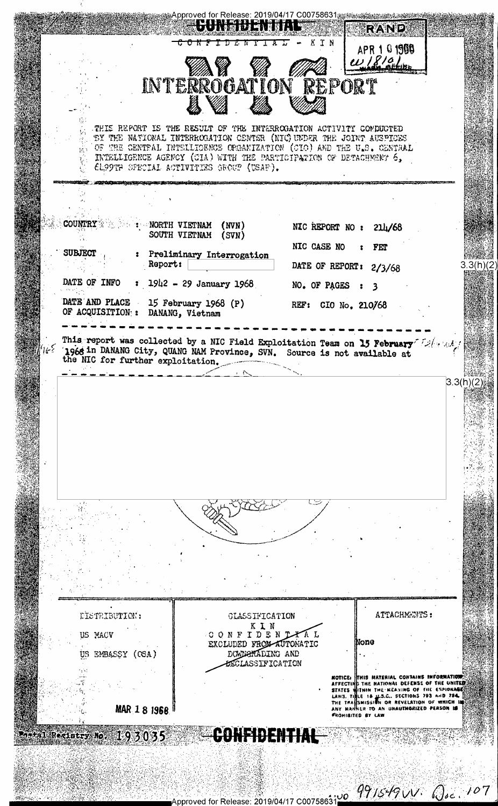Approved for Release: 2019/04/17 C00758631ﷺﷺﷺﷺ ▏▙▌▋▌▚▐▕▀▖▊▊▜▏▏█<br>░▘▟▝▘▌▖▜▞▓▌▊░▘▊▝▀▌▝▕█ **RAND** IN  $APR 101988$ **INTERROGATION REPORT** THIS REPORT IS THE RESULT OF THE INTERROGATION ACTIVITY COMPUCTED BY THE NATIONAL INTERROGATION CENTER (NIC) UNDER THE JOINT AUSPICES ήþ. OF THE CENTRAL INTELLIGENCE ORGANIZATION (CIO) AND THE U.S. CENTRAL  $\mathbb{R}^{n\times n}_{+}$ INTELLIGENCE AGENCY (CIA) WITH THE PARTICIPATION OF DETACHMENT 6, 61,99TH SPECIAL ACTIVITIES GROUP (USAF). COUNTRY & A PARTH VIETNAM  $(MVN)$ NIC REPORT NO :  $214/68$ SOUTH VIETNAM  $(SVN)$ NIC CASE NO FET **SUBJECT** : Preliminary Interrogation DATE OF REPORT: 2/3/68 Report:  $3.3(h)(2)$ DATE OF INFO  $1942 - 29$  January 1968 NO. OF PAGES  $\ddot{\phantom{1}}$  $\overline{\mathbf{3}}$ DATE AND PLACE 15 February 1968 (P) REF: CIO No. 210/68 OF ACQUISITION: : DANANG, Vietnam This report was collected by a NIC Field Exploitation Team on 15 February 12/1104 1966 in DANANG City, QUANG NAM Province, SVN. Source is not available at the NIC for further exploitation.  $3.3(h)(2)$ ATTACHMENTS: **FISTRIBUTION:** CLASSIFICATION KIN CONFIDENTIAL US MACV EXCLUDED FROM AUTOMATIC None DOWNPHADING AND US EMBASSY (CSA) **ESCLASSIFICATION** NOTICE: THIS NATERIAL CONTAINS INFORMATION<br>AFFECTING THE NATIONAL DEFENSE OF THE UNITED<br>STATES WITHIN THE NEANING OF THE ESPIONARE<br>LAWS. THEE 18 ILS.C. SECTIONS 793 AND 784.<br>THE TRANSMISSION OR REVELATION OF WHICH INS<br>ANY MAR 1 8 1968 CONFIDENTIAL tal Recistry Mo, 193035

Approved for Release: 2019/04/17 C0075863100 77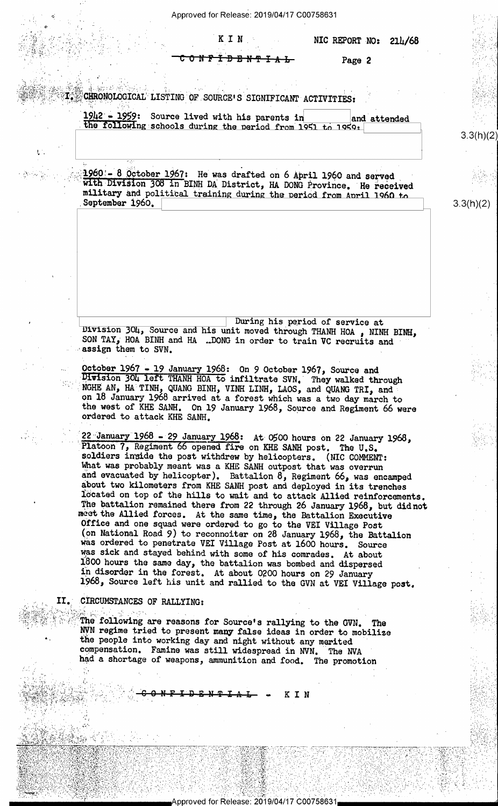Approved for Release: 2019/04/17 C00758631

KIN

<u> አን፤ ታይዘዋ ፤ አ ሁ</u>

Page 2

CHRONOLOGICAL LISTING OF SOURCE'S SIGNIFICANT ACTIVITIES:

1942 - 1959: Source lived with his parents in and attended the following schools during the period from 1951 to 1959.

 $1960 = 8$  October 1967: He was drafted on 6 April 1960 and served with Division 308 in BINH DA District, HA DONG Province. He received military and political training during the period from April 1960 to September 1960.

During his period of service at Division 304, Source and his unit moved through THANH HOA, NINH BINH, SON TAY, HOA BINH and HA ... DONG in order to train VC recruits and assign them to SVN.

October 1967 - 19 January 1968: On 9 October 1967, Source and Division 304 left THANH HOA to infiltrate SVN. They walked through NGHE AN, HA TINH, QUANG BINH, VINH LINH, LAOS, and QUANG TRI, and on 18 January 1968 arrived at a forest which was a two day march to<br>the west of KHE SANH. On 19 January 1968, Source and Regiment 66 were ordered to attack KHE SANH.

22 January 1968 - 29 January 1968: At 0500 hours on 22 January 1968, Platoon 7, Regiment 66 opened fire on KHE SANH post. The U.S. soldiers inside the post withdrew by helicopters. (NIC COMMENT: What was probably meant was a KHE SANH outpost that was overrun and evacuated by helicopter). Battalion  $\delta$ , Regiment  $66$ , was encamped about two kilometers from KHE SANH post and deployed in its trenches located on top of the hills to wait and to attack Allied reinforcements. The battalion remained there from 22 through 26 January 1968, but didnot meet the Allied forces. At the same time, the Battalion Executive Office and one squad were ordered to go to the VEI Village Post (on National Road 9) to reconnoiter on 28 January 1968, the Battalion was ordered to penetrate VEI Village Post at 1600 hours. Source was sick and stayed behind with some of his comrades. At about 1800 hours the same day, the battalion was bombed and dispersed in disorder in the forest. At about 0200 hours on 29 January 1968, Source left his unit and rallied to the GVN at VEI Village post.

CIRCUMSTANCES OF RALLYING:

IT.

The following are reasons for Source's rallying to the GVN. The NVN regime tried to present many false ideas in order to mobilize the people into working day and night without any merited compensation. Famine was still widespread in NVN. The NVA had a shortage of weapons, ammunition and food. The promotion

KIN

Approved for Release: 2019/04/17 C00758631

 $3.3(h)(2)$